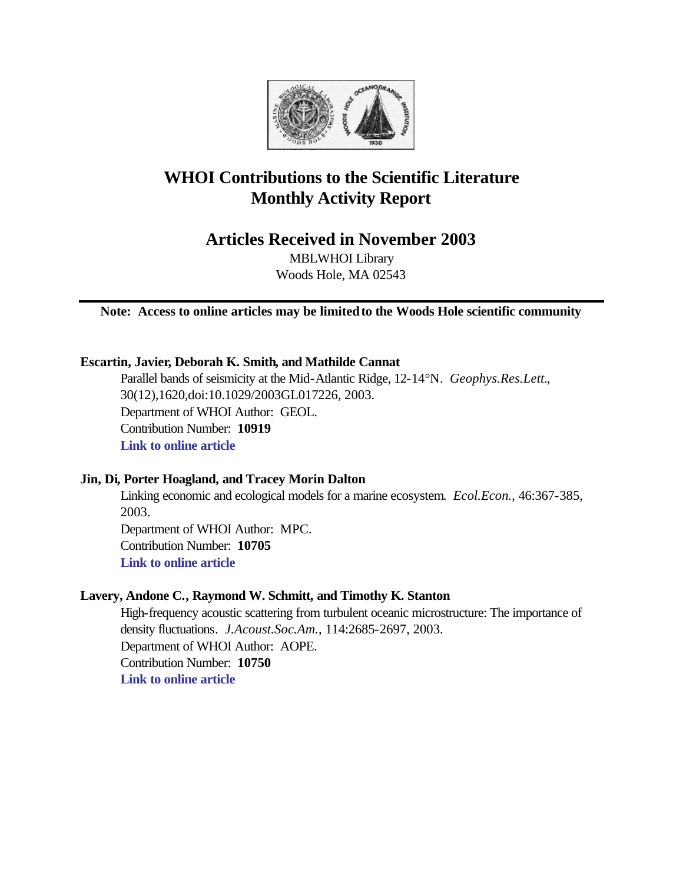

# **WHOI Contributions to the Scientific Literature Monthly Activity Report**

**Articles Received in November 2003**

MBLWHOI Library Woods Hole, MA 02543

**Note: Access to online articles may be limited to the Woods Hole scientific community**

# **Escartin, Javier, Deborah K. Smith, and Mathilde Cannat**

Parallel bands of seismicity at the Mid-Atlantic Ridge, 12-14°N. *Geophys.Res.Lett.*, 30(12),1620,doi:10.1029/2003GL017226, 2003. Department of WHOI Author: GEOL. Contribution Number: **10919 [Link to online article](http://www.agu.org/journals/gl/gl0312/2003GL017226/2003GL017226.pdf)**

# **Jin, Di, Porter Hoagland, and Tracey Morin Dalton**

Linking economic and ecological models for a marine ecosystem. *Ecol.Econ.*, 46:367-385, 2003. Department of WHOI Author: MPC. Contribution Number: **10705 [Link to online article](http://www.sciencedirect.com/science?_ob=MImg&_imagekey=B6VDY-49JPR2S-4-18&_cdi=5995&_orig=browse&_coverDate=10%2F31%2F2003&_sk=999539996&view=c&wchp=dGLbVlb-zSkWW&_acct=C000011858&_version=1&_userid=142773&md5=780221cdfa589d12f58ed4138c4e11a9&ie=f.pdf)**

## **Lavery, Andone C., Raymond W. Schmitt, and Timothy K. Stanton**

High-frequency acoustic scattering from turbulent oceanic microstructure: The importance of density fluctuations. *J.Acoust.Soc.Am.*, 114:2685-2697, 2003. Department of WHOI Author: AOPE. Contribution Number: **10750 [Link to online article](http://ojps.aip.org/getpdf/servlet/GetPDFServlet?filetype=pdf&id=JASMAN000114000005002685000001&idtype=cvips)**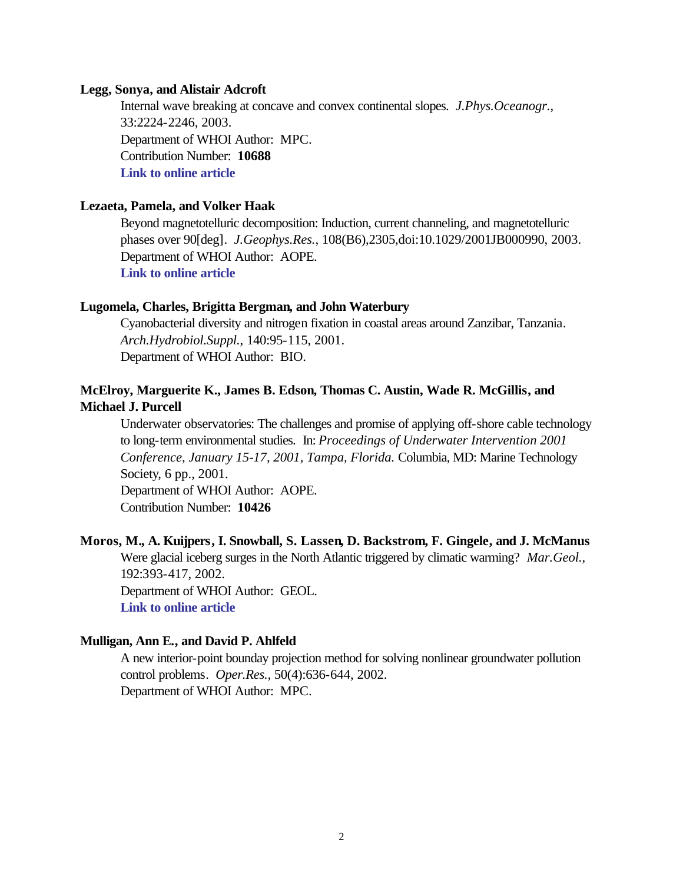#### **Legg, Sonya, and Alistair Adcroft**

Internal wave breaking at concave and convex continental slopes. *J.Phys.Oceanogr.*, 33:2224-2246, 2003. Department of WHOI Author: MPC. Contribution Number: **10688 [Link to online article](http://ams.allenpress.com/pdfserv/i1520-0485-033-11-2224.pdf)**

## **Lezaeta, Pamela, and Volker Haak**

Beyond magnetotelluric decomposition: Induction, current channeling, and magnetotelluric phases over 90[deg]. *J.Geophys.Res.*, 108(B6),2305,doi:10.1029/2001JB000990, 2003. Department of WHOI Author: AOPE. **[Link to online article](http://www.agu.org/journals/jb/jb0306/2001JB000990/2001JB000990.pdf)**

## **Lugomela, Charles, Brigitta Bergman, and John Waterbury**

Cyanobacterial diversity and nitrogen fixation in coastal areas around Zanzibar, Tanzania. *Arch.Hydrobiol.Suppl.*, 140:95-115, 2001. Department of WHOI Author: BIO.

# **McElroy, Marguerite K., James B. Edson, Thomas C. Austin, Wade R. McGillis, and Michael J. Purcell**

Underwater observatories: The challenges and promise of applying off-shore cable technology to long-term environmental studies. In: *Proceedings of Underwater Intervention 2001 Conference, January 15-17, 2001, Tampa, Florida.* Columbia, MD: Marine Technology Society, 6 pp., 2001.

Department of WHOI Author: AOPE. Contribution Number: **10426**

# **Moros, M., A. Kuijpers, I. Snowball, S. Lassen, D. Backstrom, F. Gingele, and J. McManus** Were glacial iceberg surges in the North Atlantic triggered by climatic warming? *Mar.Geol.*, 192:393-417, 2002. Department of WHOI Author: GEOL. **[Link to online article](http://www.sciencedirect.com/science?_ob=MImg&_imagekey=B6V6M-474GJ3N-4-N&_cdi=5818&_orig=browse&_coverDate=12%2F30%2F2002&_sk=998079995&view=c&wchp=dGLbVtz-zSkzS&_acct=C000011858&_version=1&_userid=142773&md5=a188478b5d620f200df24060bb9953c1&ie=f.pdf)**

#### **Mulligan, Ann E., and David P. Ahlfeld**

A new interior-point bounday projection method for solving nonlinear groundwater pollution control problems. *Oper.Res.*, 50(4):636-644, 2002. Department of WHOI Author: MPC.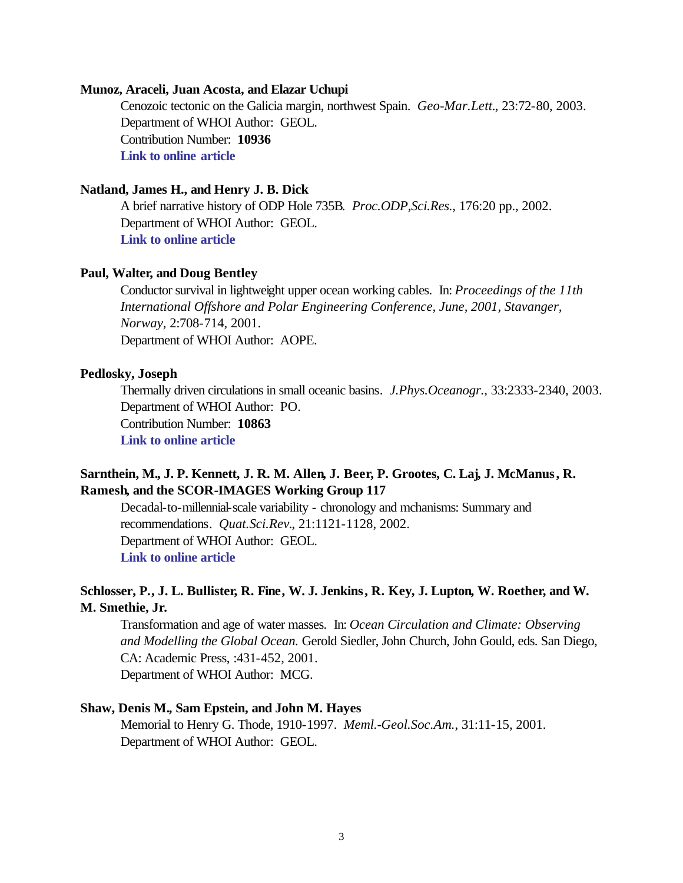#### **Munoz, Araceli, Juan Acosta, and Elazar Uchupi**

Cenozoic tectonic on the Galicia margin, northwest Spain. *Geo-Mar.Lett.*, 23:72-80, 2003. Department of WHOI Author: GEOL. Contribution Number: **10936 [Link to online article](http://www.springerlink.com/app/home/content.asp?wasp=mm8xdgqwrr3jp91hfj6u&referrer=contribution&format=2&page=1&pagecount=9)**

# **Natland, James H., and Henry J. B. Dick**

A brief narrative history of ODP Hole 735B. *Proc.ODP,Sci.Res.*, 176:20 pp., 2002. Department of WHOI Author: GEOL. **[Link to online article](http://www-odp.tamu.edu/publications/176_SR/VOLUME/SYNTH/HIST.PDF)**

#### **Paul, Walter, and Doug Bentley**

Conductor survival in lightweight upper ocean working cables. In: *Proceedings of the 11th International Offshore and Polar Engineering Conference, June, 2001, Stavanger, Norway*, 2:708-714, 2001. Department of WHOI Author: AOPE.

## **Pedlosky, Joseph**

Thermally driven circulations in small oceanic basins. *J.Phys.Oceanogr.*, 33:2333-2340, 2003. Department of WHOI Author: PO. Contribution Number: **10863 [Link to online article](http://ams.allenpress.com/pdfserv/i1520-0485-033-11-2333.pdf)**

# **Sarnthein, M., J. P. Kennett, J. R. M. Allen, J. Beer, P. Grootes, C. Laj, J. McManus, R. Ramesh, and the SCOR-IMAGES Working Group 117**

Decadal-to-millennial-scale variability - chronology and mchanisms: Summary and recommendations. *Quat.Sci.Rev.*, 21:1121-1128, 2002. Department of WHOI Author: GEOL. **[Link to online article](http://www.sciencedirect.com/science?_ob=MImg&_imagekey=B6VBC-44CNN5V-1-1&_cdi=5923&_orig=browse&_coverDate=05%2F31%2F2002&_sk=999789989&view=c&wchp=dGLbVtz-zSkzS&_acct=C000011858&_version=1&_userid=142773&md5=339fb55e76192b4bf96ef24fb17984e6&ie=f.pdf)**

# **Schlosser, P., J. L. Bullister, R. Fine, W. J. Jenkins, R. Key, J. Lupton, W. Roether, and W. M. Smethie, Jr.**

Transformation and age of water masses. In: *Ocean Circulation and Climate: Observing and Modelling the Global Ocean.* Gerold Siedler, John Church, John Gould, eds. San Diego, CA: Academic Press, :431-452, 2001. Department of WHOI Author: MCG.

# **Shaw, Denis M., Sam Epstein, and John M. Hayes**

Memorial to Henry G. Thode, 1910-1997. *Meml.-Geol.Soc.Am.*, 31:11-15, 2001. Department of WHOI Author: GEOL.